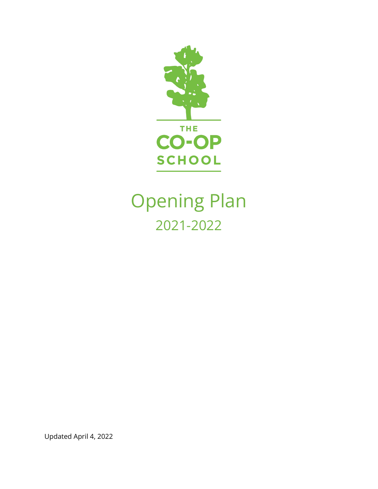

# Opening Plan 2021-2022

Updated April 4, 2022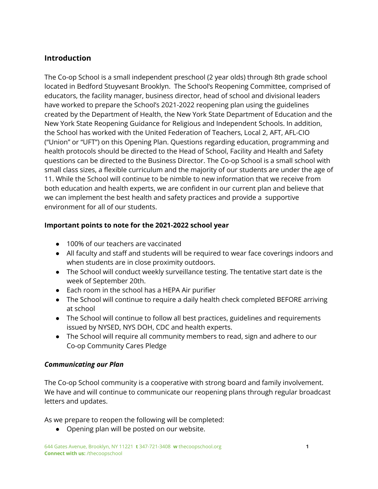# **Introduction**

The Co-op School is a small independent preschool (2 year olds) through 8th grade school located in Bedford Stuyvesant Brooklyn. The School's Reopening Committee, comprised of educators, the facility manager, business director, head of school and divisional leaders have worked to prepare the School's 2021-2022 reopening plan using the guidelines created by the Department of Health, the New York State Department of Education and the New York State Reopening Guidance for Religious and Independent Schools. In addition, the School has worked with the United Federation of Teachers, Local 2, AFT, AFL-CIO ("Union" or "UFT") on this Opening Plan. Questions regarding education, programming and health protocols should be directed to the Head of School, Facility and Health and Safety questions can be directed to the Business Director. The Co-op School is a small school with small class sizes, a flexible curriculum and the majority of our students are under the age of 11. While the School will continue to be nimble to new information that we receive from both education and health experts, we are confident in our current plan and believe that we can implement the best health and safety practices and provide a supportive environment for all of our students.

# **Important points to note for the 2021-2022 school year**

- 100% of our teachers are vaccinated
- All faculty and staff and students will be required to wear face coverings indoors and when students are in close proximity outdoors.
- The School will conduct weekly surveillance testing. The tentative start date is the week of September 20th.
- Each room in the school has a HEPA Air purifier
- The School will continue to require a daily health check completed BEFORE arriving at school
- The School will continue to follow all best practices, guidelines and requirements issued by NYSED, NYS DOH, CDC and health experts.
- The School will require all community members to read, sign and adhere to our Co-op Community Cares Pledge

#### *Communicating our Plan*

The Co-op School community is a cooperative with strong board and family involvement. We have and will continue to communicate our reopening plans through regular broadcast letters and updates.

As we prepare to reopen the following will be completed:

● Opening plan will be posted on our website.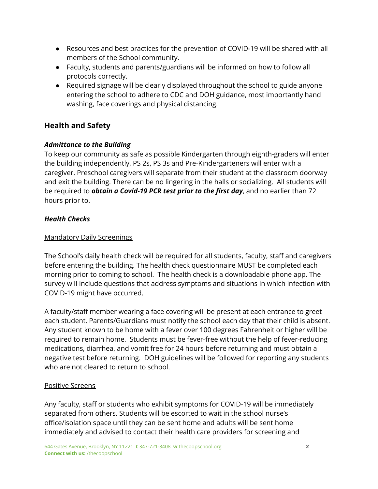- Resources and best practices for the prevention of COVID-19 will be shared with all members of the School community.
- Faculty, students and parents/guardians will be informed on how to follow all protocols correctly.
- Required signage will be clearly displayed throughout the school to guide anyone entering the school to adhere to CDC and DOH guidance, most importantly hand washing, face coverings and physical distancing.

# **Health and Safety**

# *Admittance to the Building*

To keep our community as safe as possible Kindergarten through eighth-graders will enter the building independently, PS 2s, PS 3s and Pre-Kindergarteners will enter with a caregiver. Preschool caregivers will separate from their student at the classroom doorway and exit the building. There can be no lingering in the halls or socializing. All students will be required to *obtain a Covid-19 PCR test prior to the first day*, and no earlier than 72 hours prior to.

# *Health Checks*

#### Mandatory Daily Screenings

The School's daily health check will be required for all students, faculty, staff and caregivers before entering the building. The health check questionnaire MUST be completed each morning prior to coming to school. The health check is a downloadable phone app. The survey will include questions that address symptoms and situations in which infection with COVID-19 might have occurred.

A faculty/staff member wearing a face covering will be present at each entrance to greet each student. Parents/Guardians must notify the school each day that their child is absent. Any student known to be home with a fever over 100 degrees Fahrenheit or higher will be required to remain home. Students must be fever-free without the help of fever-reducing medications, diarrhea, and vomit free for 24 hours before returning and must obtain a negative test before returning. DOH guidelines will be followed for reporting any students who are not cleared to return to school.

#### Positive Screens

Any faculty, staff or students who exhibit symptoms for COVID-19 will be immediately separated from others. Students will be escorted to wait in the school nurse's office/isolation space until they can be sent home and adults will be sent home immediately and advised to contact their health care providers for screening and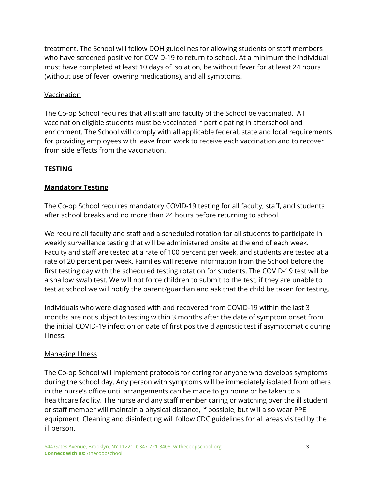treatment. The School will follow DOH guidelines for allowing students or staff members who have screened positive for COVID-19 to return to school. At a minimum the individual must have completed at least 10 days of isolation, be without fever for at least 24 hours (without use of fever lowering medications), and all symptoms.

#### Vaccination

The Co-op School requires that all staff and faculty of the School be vaccinated. All vaccination eligible students must be vaccinated if participating in afterschool and enrichment. The School will comply with all applicable federal, state and local requirements for providing employees with leave from work to receive each vaccination and to recover from side effects from the vaccination.

# **TESTING**

# **Mandatory Testing**

The Co-op School requires mandatory COVID-19 testing for all faculty, staff, and students after school breaks and no more than 24 hours before returning to school.

We require all faculty and staff and a scheduled rotation for all students to participate in weekly surveillance testing that will be administered onsite at the end of each week. Faculty and staff are tested at a rate of 100 percent per week, and students are tested at a rate of 20 percent per week. Families will receive information from the School before the first testing day with the scheduled testing rotation for students. The COVID-19 test will be a shallow swab test. We will not force children to submit to the test; if they are unable to test at school we will notify the parent/guardian and ask that the child be taken for testing.

Individuals who were diagnosed with and recovered from COVID-19 within the last 3 months are not subject to testing within 3 months after the date of symptom onset from the initial COVID-19 infection or date of first positive diagnostic test if asymptomatic during illness.

# **Managing Illness**

The Co-op School will implement protocols for caring for anyone who develops symptoms during the school day. Any person with symptoms will be immediately isolated from others in the nurse's office until arrangements can be made to go home or be taken to a healthcare facility. The nurse and any staff member caring or watching over the ill student or staff member will maintain a physical distance, if possible, but will also wear PPE equipment. Cleaning and disinfecting will follow CDC guidelines for all areas visited by the ill person.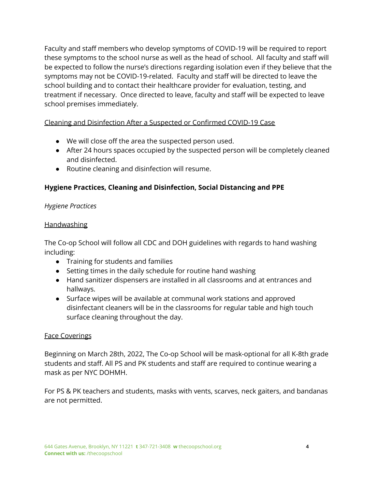Faculty and staff members who develop symptoms of COVID-19 will be required to report these symptoms to the school nurse as well as the head of school. All faculty and staff will be expected to follow the nurse's directions regarding isolation even if they believe that the symptoms may not be COVID-19-related. Faculty and staff will be directed to leave the school building and to contact their healthcare provider for evaluation, testing, and treatment if necessary. Once directed to leave, faculty and staff will be expected to leave school premises immediately.

# Cleaning and Disinfection After a Suspected or Confirmed COVID-19 Case

- We will close off the area the suspected person used.
- After 24 hours spaces occupied by the suspected person will be completely cleaned and disinfected.
- Routine cleaning and disinfection will resume.

# **Hygiene Practices, Cleaning and Disinfection, Social Distancing and PPE**

# *Hygiene Practices*

#### **Handwashing**

The Co-op School will follow all CDC and DOH guidelines with regards to hand washing including:

- Training for students and families
- Setting times in the daily schedule for routine hand washing
- Hand sanitizer dispensers are installed in all classrooms and at entrances and hallways.
- Surface wipes will be available at communal work stations and approved disinfectant cleaners will be in the classrooms for regular table and high touch surface cleaning throughout the day.

# Face Coverings

Beginning on March 28th, 2022, The Co-op School will be mask-optional for all K-8th grade students and staff. All PS and PK students and staff are required to continue wearing a mask as per NYC DOHMH.

For PS & PK teachers and students, masks with vents, scarves, neck gaiters, and bandanas are not permitted.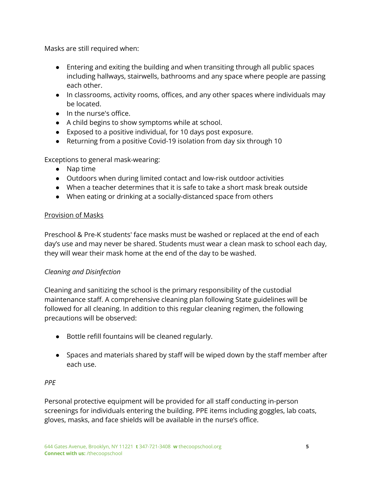Masks are still required when:

- Entering and exiting the building and when transiting through all public spaces including hallways, stairwells, bathrooms and any space where people are passing each other.
- In classrooms, activity rooms, offices, and any other spaces where individuals may be located.
- In the nurse's office.
- A child begins to show symptoms while at school.
- Exposed to a positive individual, for 10 days post exposure.
- Returning from a positive Covid-19 isolation from day six through 10

Exceptions to general mask-wearing:

- Nap time
- Outdoors when during limited contact and low-risk outdoor activities
- When a teacher determines that it is safe to take a short mask break outside
- When eating or drinking at a socially-distanced space from others

#### Provision of Masks

Preschool & Pre-K students' face masks must be washed or replaced at the end of each day's use and may never be shared. Students must wear a clean mask to school each day, they will wear their mask home at the end of the day to be washed.

# *Cleaning and Disinfection*

Cleaning and sanitizing the school is the primary responsibility of the custodial maintenance staff. A comprehensive cleaning plan following State guidelines will be followed for all cleaning. In addition to this regular cleaning regimen, the following precautions will be observed:

- Bottle refill fountains will be cleaned regularly.
- Spaces and materials shared by staff will be wiped down by the staff member after each use.

# *PPE*

Personal protective equipment will be provided for all staff conducting in-person screenings for individuals entering the building. PPE items including goggles, lab coats, gloves, masks, and face shields will be available in the nurse's office.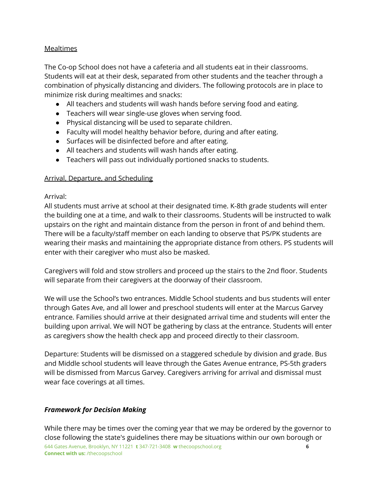#### Mealtimes

The Co-op School does not have a cafeteria and all students eat in their classrooms. Students will eat at their desk, separated from other students and the teacher through a combination of physically distancing and dividers. The following protocols are in place to minimize risk during mealtimes and snacks:

- All teachers and students will wash hands before serving food and eating.
- Teachers will wear single-use gloves when serving food.
- Physical distancing will be used to separate children.
- Faculty will model healthy behavior before, during and after eating.
- Surfaces will be disinfected before and after eating.
- All teachers and students will wash hands after eating.
- Teachers will pass out individually portioned snacks to students.

#### Arrival, Departure, and Scheduling

#### Arrival:

All students must arrive at school at their designated time. K-8th grade students will enter the building one at a time, and walk to their classrooms. Students will be instructed to walk upstairs on the right and maintain distance from the person in front of and behind them. There will be a faculty/staff member on each landing to observe that PS/PK students are wearing their masks and maintaining the appropriate distance from others. PS students will enter with their caregiver who must also be masked.

Caregivers will fold and stow strollers and proceed up the stairs to the 2nd floor. Students will separate from their caregivers at the doorway of their classroom.

We will use the School's two entrances. Middle School students and bus students will enter through Gates Ave, and all lower and preschool students will enter at the Marcus Garvey entrance. Families should arrive at their designated arrival time and students will enter the building upon arrival. We will NOT be gathering by class at the entrance. Students will enter as caregivers show the health check app and proceed directly to their classroom.

Departure: Students will be dismissed on a staggered schedule by division and grade. Bus and Middle school students will leave through the Gates Avenue entrance, PS-5th graders will be dismissed from Marcus Garvey. Caregivers arriving for arrival and dismissal must wear face coverings at all times.

# *Framework for Decision Making*

While there may be times over the coming year that we may be ordered by the governor to close following the state's guidelines there may be situations within our own borough or 644 Gates Avenue, Brooklyn, NY 11221 **t** 347-721-3408 **w** thecoopschool.org **6 Connect with us:** /thecoopschool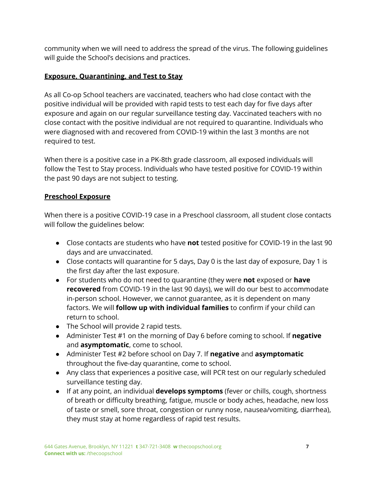community when we will need to address the spread of the virus. The following guidelines will guide the School's decisions and practices.

# **Exposure, Quarantining, and Test to Stay**

As all Co-op School teachers are vaccinated, teachers who had close contact with the positive individual will be provided with rapid tests to test each day for five days after exposure and again on our regular surveillance testing day. Vaccinated teachers with no close contact with the positive individual are not required to quarantine. Individuals who were diagnosed with and recovered from COVID-19 within the last 3 months are not required to test.

When there is a positive case in a PK-8th grade classroom, all exposed individuals will follow the Test to Stay process. Individuals who have tested positive for COVID-19 within the past 90 days are not subject to testing.

#### **Preschool Exposure**

When there is a positive COVID-19 case in a Preschool classroom, all student close contacts will follow the guidelines below:

- Close contacts are students who have **not** tested positive for COVID-19 in the last 90 days and are unvaccinated.
- Close contacts will quarantine for 5 days, Day 0 is the last day of exposure, Day 1 is the first day after the last exposure.
- For students who do not need to quarantine (they were **not** exposed or **have recovered** from COVID-19 in the last 90 days), we will do our best to accommodate in-person school. However, we cannot guarantee, as it is dependent on many factors. We will **follow up with individual families** to confirm if your child can return to school.
- The School will provide 2 rapid tests.
- Administer Test #1 on the morning of Day 6 before coming to school. If **negative** and **asymptomatic**, come to school.
- Administer Test #2 before school on Day 7. If **negative** and **asymptomatic** throughout the five-day quarantine, come to school.
- Any class that experiences a positive case, will PCR test on our regularly scheduled surveillance testing day.
- If at any point, an individual **develops symptoms** (fever or chills, cough, shortness of breath or difficulty breathing, fatigue, muscle or body aches, headache, new loss of taste or smell, sore throat, congestion or runny nose, nausea/vomiting, diarrhea), they must stay at home regardless of rapid test results.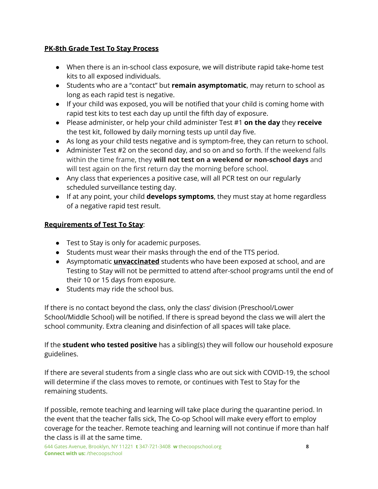#### **PK-8th Grade Test To Stay Process**

- When there is an in-school class exposure, we will distribute rapid take-home test kits to all exposed individuals.
- Students who are a "contact" but **remain asymptomatic**, may return to school as long as each rapid test is negative.
- If your child was exposed, you will be notified that your child is coming home with rapid test kits to test each day up until the fifth day of exposure.
- Please administer, or help your child administer Test #1 **on the day** they **receive** the test kit, followed by daily morning tests up until day five.
- As long as your child tests negative and is symptom-free, they can return to school.
- Administer Test #2 on the second day, and so on and so forth. If the weekend falls within the time frame, they **will not test on a weekend or non-school days** and will test again on the first return day the morning before school.
- Any class that experiences a positive case, will all PCR test on our regularly scheduled surveillance testing day.
- If at any point, your child **develops symptoms**, they must stay at home regardless of a negative rapid test result.

# **Requirements of Test To Stay**:

- Test to Stay is only for academic purposes.
- Students must wear their masks through the end of the TTS period.
- Asymptomatic **unvaccinated** students who have been exposed at school, and are Testing to Stay will not be permitted to attend after-school programs until the end of their 10 or 15 days from exposure.
- Students may ride the school bus.

If there is no contact beyond the class, only the class' division (Preschool/Lower School/Middle School) will be notified. If there is spread beyond the class we will alert the school community. Extra cleaning and disinfection of all spaces will take place.

If the **student who tested positive** has a sibling(s) they will follow our household exposure guidelines.

If there are several students from a single class who are out sick with COVID-19, the school will determine if the class moves to remote, or continues with Test to Stay for the remaining students.

If possible, remote teaching and learning will take place during the quarantine period. In the event that the teacher falls sick, The Co-op School will make every effort to employ coverage for the teacher. Remote teaching and learning will not continue if more than half the class is ill at the same time.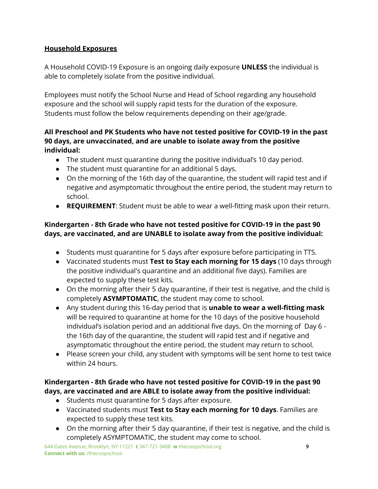# **Household Exposures**

A Household COVID-19 Exposure is an ongoing daily exposure **UNLESS** the individual is able to completely isolate from the positive individual.

Employees must notify the School Nurse and Head of School regarding any household exposure and the school will supply rapid tests for the duration of the exposure. Students must follow the below requirements depending on their age/grade.

# **All Preschool and PK Students who have not tested positive for COVID-19 in the past 90 days, are unvaccinated, and are unable to isolate away from the positive individual:**

- The student must quarantine during the positive individual's 10 day period.
- The student must quarantine for an additional 5 days.
- On the morning of the 16th day of the quarantine, the student will rapid test and if negative and asymptomatic throughout the entire period, the student may return to school.
- **REQUIREMENT**: Student must be able to wear a well-fitting mask upon their return.

# **Kindergarten - 8th Grade who have not tested positive for COVID-19 in the past 90 days, are vaccinated, and are UNABLE to isolate away from the positive individual:**

- Students must quarantine for 5 days after exposure before participating in TTS.
- Vaccinated students must **Test to Stay each morning for 15 days** (10 days through the positive individual's quarantine and an additional five days). Families are expected to supply these test kits.
- On the morning after their 5 day quarantine, if their test is negative, and the child is completely **ASYMPTOMATIC**, the student may come to school.
- Any student during this 16-day period that is **unable to wear a well-fitting mask** will be required to quarantine at home for the 10 days of the positive household individual's isolation period and an additional five days. On the morning of Day 6 the 16th day of the quarantine, the student will rapid test and if negative and asymptomatic throughout the entire period, the student may return to school.
- Please screen your child, any student with symptoms will be sent home to test twice within 24 hours.

# **Kindergarten - 8th Grade who have not tested positive for COVID-19 in the past 90 days, are vaccinated and are ABLE to isolate away from the positive individual:**

- Students must quarantine for 5 days after exposure.
- **●** Vaccinated students must **Test to Stay each morning for 10 days**. Families are expected to supply these test kits.
- On the morning after their 5 day quarantine, if their test is negative, and the child is completely ASYMPTOMATIC, the student may come to school.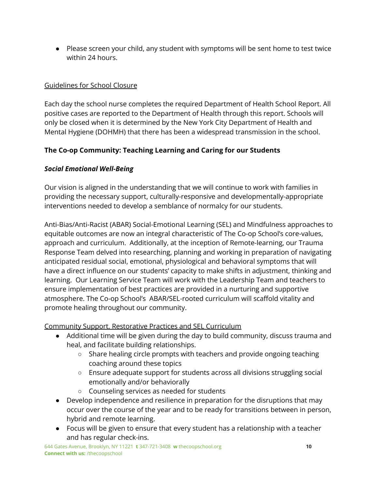● Please screen your child, any student with symptoms will be sent home to test twice within 24 hours.

#### Guidelines for School Closure

Each day the school nurse completes the required Department of Health School Report. All positive cases are reported to the Department of Health through this report. Schools will only be closed when it is determined by the New York City Department of Health and Mental Hygiene (DOHMH) that there has been a widespread transmission in the school.

# **The Co-op Community: Teaching Learning and Caring for our Students**

# *Social Emotional Well-Being*

Our vision is aligned in the understanding that we will continue to work with families in providing the necessary support, culturally-responsive and developmentally-appropriate interventions needed to develop a semblance of normalcy for our students.

Anti-Bias/Anti-Racist (ABAR) Social-Emotional Learning (SEL) and Mindfulness approaches to equitable outcomes are now an integral characteristic of The Co-op School's core-values, approach and curriculum. Additionally, at the inception of Remote-learning, our Trauma Response Team delved into researching, planning and working in preparation of navigating anticipated residual social, emotional, physiological and behavioral symptoms that will have a direct influence on our students' capacity to make shifts in adjustment, thinking and learning. Our Learning Service Team will work with the Leadership Team and teachers to ensure implementation of best practices are provided in a nurturing and supportive atmosphere. The Co-op School's ABAR/SEL-rooted curriculum will scaffold vitality and promote healing throughout our community.

Community Support, Restorative Practices and SEL Curriculum

- Additional time will be given during the day to build community, discuss trauma and heal, and facilitate building relationships.
	- Share healing circle prompts with teachers and provide ongoing teaching coaching around these topics
	- Ensure adequate support for students across all divisions struggling social emotionally and/or behaviorally
	- Counseling services as needed for students
- Develop independence and resilience in preparation for the disruptions that may occur over the course of the year and to be ready for transitions between in person, hybrid and remote learning.
- Focus will be given to ensure that every student has a relationship with a teacher and has regular check-ins.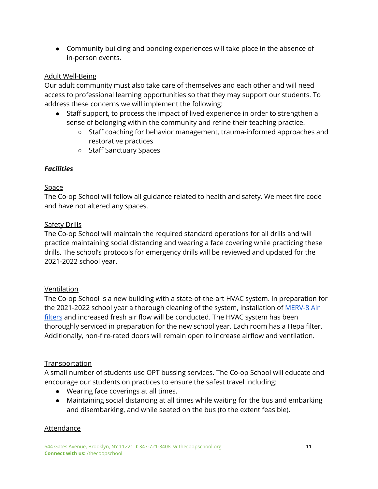● Community building and bonding experiences will take place in the absence of in-person events.

#### Adult Well-Being

Our adult community must also take care of themselves and each other and will need access to professional learning opportunities so that they may support our students. To address these concerns we will implement the following:

- Staff support, to process the impact of lived experience in order to strengthen a sense of belonging within the community and refine their teaching practice.
	- Staff coaching for behavior management, trauma-informed approaches and restorative practices
	- Staff Sanctuary Spaces

# *Facilities*

#### Space

The Co-op School will follow all guidance related to health and safety. We meet fire code and have not altered any spaces.

#### Safety Drills

The Co-op School will maintain the required standard operations for all drills and will practice maintaining social distancing and wearing a face covering while practicing these drills. The school's protocols for emergency drills will be reviewed and updated for the 2021-2022 school year.

# Ventilation

The Co-op School is a new building with a state-of-the-art HVAC system. In preparation for the 2021-2022 school year a thorough cleaning of the system, installation of [MERV-8](https://filterking.com/air-filter-reviews/merv-13-air-filter-review) Air [filters](https://filterking.com/air-filter-reviews/merv-13-air-filter-review) and increased fresh air flow will be conducted. The HVAC system has been thoroughly serviced in preparation for the new school year. Each room has a Hepa filter. Additionally, non-fire-rated doors will remain open to increase airflow and ventilation.

# **Transportation**

A small number of students use OPT bussing services. The Co-op School will educate and encourage our students on practices to ensure the safest travel including:

- Wearing face coverings at all times.
- Maintaining social distancing at all times while waiting for the bus and embarking and disembarking, and while seated on the bus (to the extent feasible).

#### **Attendance**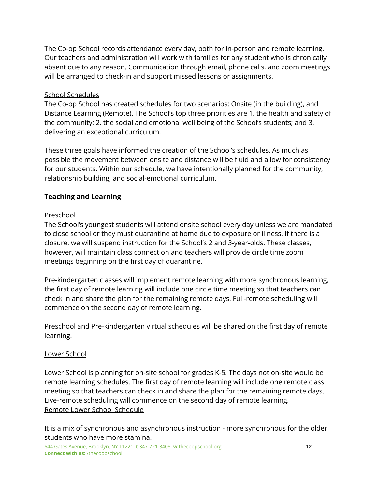The Co-op School records attendance every day, both for in-person and remote learning. Our teachers and administration will work with families for any student who is chronically absent due to any reason. Communication through email, phone calls, and zoom meetings will be arranged to check-in and support missed lessons or assignments.

# School Schedules

The Co-op School has created schedules for two scenarios; Onsite (in the building), and Distance Learning (Remote). The School's top three priorities are 1. the health and safety of the community; 2. the social and emotional well being of the School's students; and 3. delivering an exceptional curriculum.

These three goals have informed the creation of the School's schedules. As much as possible the movement between onsite and distance will be fluid and allow for consistency for our students. Within our schedule, we have intentionally planned for the community, relationship building, and social-emotional curriculum.

# **Teaching and Learning**

#### Preschool

The School's youngest students will attend onsite school every day unless we are mandated to close school or they must quarantine at home due to exposure or illness. If there is a closure, we will suspend instruction for the School's 2 and 3-year-olds. These classes, however, will maintain class connection and teachers will provide circle time zoom meetings beginning on the first day of quarantine.

Pre-kindergarten classes will implement remote learning with more synchronous learning, the first day of remote learning will include one circle time meeting so that teachers can check in and share the plan for the remaining remote days. Full-remote scheduling will commence on the second day of remote learning.

Preschool and Pre-kindergarten virtual schedules will be shared on the first day of remote learning.

#### Lower School

Lower School is planning for on-site school for grades K-5. The days not on-site would be remote learning schedules. The first day of remote learning will include one remote class meeting so that teachers can check in and share the plan for the remaining remote days. Live-remote scheduling will commence on the second day of remote learning. Remote Lower School Schedule

It is a mix of synchronous and asynchronous instruction - more synchronous for the older students who have more stamina.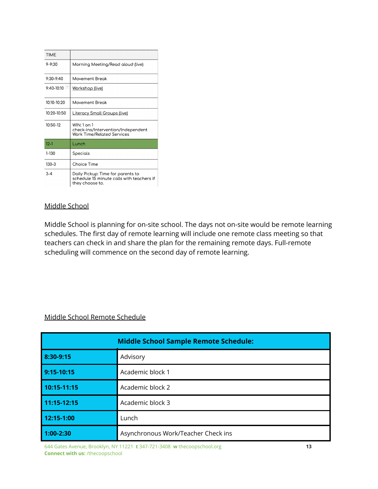| <b>TIME</b>     |                                                                                                   |
|-----------------|---------------------------------------------------------------------------------------------------|
| $9 - 9.30$      | Morning Meeting/Read aloud (live)                                                                 |
| $9.30 - 9.40$   | Movement Break                                                                                    |
| 9:40-10:10      | <u> Workshop (live)</u>                                                                           |
| 10:10-10:20     | Movement Break                                                                                    |
| $10.20 - 10.50$ | <u> Literacy Small Groups (live)</u>                                                              |
| $10:50-12$      | $WIN: 1$ on 1<br>check-ins/Intervention/Independent<br>Work Time/Related Services                 |
| $12 - 1$        | Lunch                                                                                             |
| 1-130           | Specials                                                                                          |
| $130 - 3$       | Choice Time                                                                                       |
| $3 - 4$         | Daily Pickup: Time for parents to<br>schedule 15 minute calls with teachers if<br>they choose to. |

# Middle School

Middle School is planning for on-site school. The days not on-site would be remote learning schedules. The first day of remote learning will include one remote class meeting so that teachers can check in and share the plan for the remaining remote days. Full-remote scheduling will commence on the second day of remote learning.

# Middle School Remote Schedule

| <b>Middle School Sample Remote Schedule:</b> |                                     |
|----------------------------------------------|-------------------------------------|
| 8:30-9:15                                    | Advisory                            |
| 9:15-10:15                                   | Academic block 1                    |
| 10:15-11:15                                  | Academic block 2                    |
| 11:15-12:15                                  | Academic block 3                    |
| 12:15-1:00                                   | Lunch                               |
| $1:00-2:30$                                  | Asynchronous Work/Teacher Check ins |

644 Gates Avenue, Brooklyn, NY 11221 **t** 347-721-3408 **w** thecoopschool.org **13 Connect with us:** /thecoopschool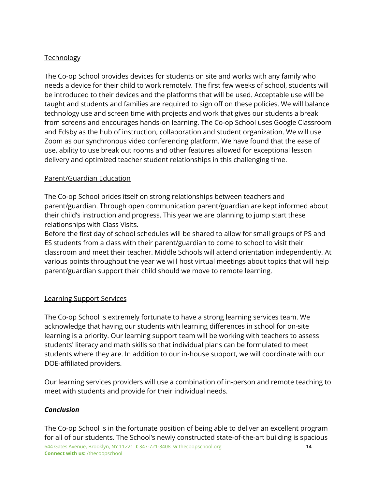# **Technology**

The Co-op School provides devices for students on site and works with any family who needs a device for their child to work remotely. The first few weeks of school, students will be introduced to their devices and the platforms that will be used. Acceptable use will be taught and students and families are required to sign off on these policies. We will balance technology use and screen time with projects and work that gives our students a break from screens and encourages hands-on learning. The Co-op School uses Google Classroom and Edsby as the hub of instruction, collaboration and student organization. We will use Zoom as our synchronous video conferencing platform. We have found that the ease of use, ability to use break out rooms and other features allowed for exceptional lesson delivery and optimized teacher student relationships in this challenging time.

#### Parent/Guardian Education

The Co-op School prides itself on strong relationships between teachers and parent/guardian. Through open communication parent/guardian are kept informed about their child's instruction and progress. This year we are planning to jump start these relationships with Class Visits.

Before the first day of school schedules will be shared to allow for small groups of PS and ES students from a class with their parent/guardian to come to school to visit their classroom and meet their teacher. Middle Schools will attend orientation independently. At various points throughout the year we will host virtual meetings about topics that will help parent/guardian support their child should we move to remote learning.

#### Learning Support Services

The Co-op School is extremely fortunate to have a strong learning services team. We acknowledge that having our students with learning differences in school for on-site learning is a priority. Our learning support team will be working with teachers to assess students' literacy and math skills so that individual plans can be formulated to meet students where they are. In addition to our in-house support, we will coordinate with our DOE-affiliated providers.

Our learning services providers will use a combination of in-person and remote teaching to meet with students and provide for their individual needs.

# *Conclusion*

The Co-op School is in the fortunate position of being able to deliver an excellent program for all of our students. The School's newly constructed state-of-the-art building is spacious 644 Gates Avenue, Brooklyn, NY 11221 **t** 347-721-3408 **w** thecoopschool.org **14 Connect with us:** /thecoopschool